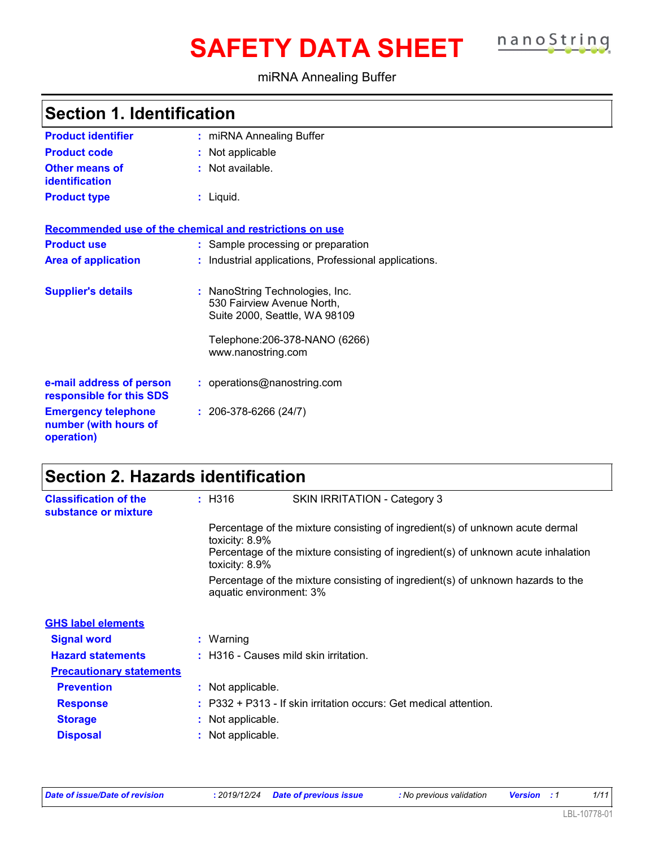# **SAFETY DATA SHEET nanoString**



#### miRNA Annealing Buffer

| <b>Product identifier</b>                                         | : miRNA Annealing Buffer                                                                       |
|-------------------------------------------------------------------|------------------------------------------------------------------------------------------------|
| <b>Product code</b>                                               | : Not applicable                                                                               |
| <b>Other means of</b><br><b>identification</b>                    | $:$ Not available.                                                                             |
| <b>Product type</b>                                               | $:$ Liquid.                                                                                    |
| Recommended use of the chemical and restrictions on use           |                                                                                                |
| <b>Product use</b>                                                | : Sample processing or preparation                                                             |
| <b>Area of application</b>                                        | : Industrial applications, Professional applications.                                          |
| <b>Supplier's details</b>                                         | : NanoString Technologies, Inc.<br>530 Fairview Avenue North,<br>Suite 2000, Seattle, WA 98109 |
|                                                                   | Telephone: 206-378-NANO (6266)<br>www.nanostring.com                                           |
| e-mail address of person<br>responsible for this SDS              | : operations@nanostring.com                                                                    |
| <b>Emergency telephone</b><br>number (with hours of<br>operation) | $: 206-378-6266(24/7)$                                                                         |

# **Section 2. Hazards identification**

| <b>Classification of the</b><br>substance or mixture | : H316            | SKIN IRRITATION - Category 3                                                                               |
|------------------------------------------------------|-------------------|------------------------------------------------------------------------------------------------------------|
|                                                      | toxicity: $8.9\%$ | Percentage of the mixture consisting of ingredient(s) of unknown acute dermal                              |
|                                                      | toxicity: $8.9\%$ | Percentage of the mixture consisting of ingredient(s) of unknown acute inhalation                          |
|                                                      |                   | Percentage of the mixture consisting of ingredient(s) of unknown hazards to the<br>aquatic environment: 3% |
| <b>GHS label elements</b>                            |                   |                                                                                                            |
| <b>Signal word</b>                                   | : Warning         |                                                                                                            |
| <b>Hazard statements</b>                             |                   | : H316 - Causes mild skin irritation.                                                                      |
| <b>Precautionary statements</b>                      |                   |                                                                                                            |
| <b>Prevention</b>                                    | : Not applicable. |                                                                                                            |
| <b>Response</b>                                      |                   | $: P332 + P313$ - If skin irritation occurs: Get medical attention.                                        |
| <b>Storage</b>                                       | : Not applicable. |                                                                                                            |
| <b>Disposal</b>                                      | : Not applicable. |                                                                                                            |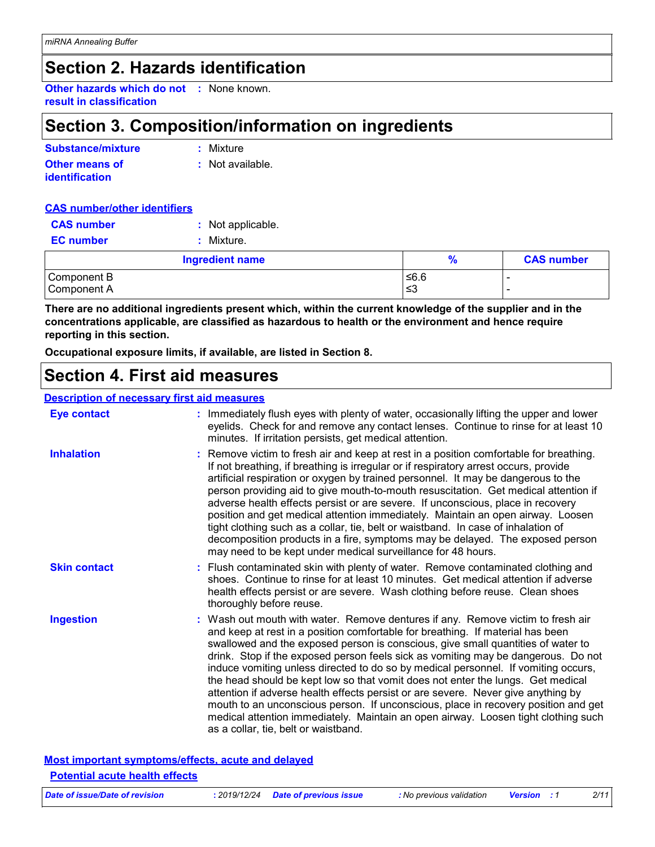### **Section 2. Hazards identification**

**Other hazards which do not :** None known. **result in classification**

# **Section 3. Composition/information on ingredients**

| Substance/mixture     | : Mixture        |
|-----------------------|------------------|
| <b>Other means of</b> | : Not available. |
| <b>identification</b> |                  |

#### **CAS number/other identifiers**

| <b>CAS number</b> | : Not applicable.      |               |                          |
|-------------------|------------------------|---------------|--------------------------|
| <b>EC</b> number  | $:$ Mixture.           |               |                          |
|                   | <b>Ingredient name</b> | $\frac{9}{6}$ | $c\prime$                |
| Component B       |                        | ≤6.6          |                          |
| Component A       |                        | -≤3           | $\overline{\phantom{0}}$ |

**There are no additional ingredients present which, within the current knowledge of the supplier and in the concentrations applicable, are classified as hazardous to health or the environment and hence require reporting in this section.**

**Ingredient name % CAS number**

**Occupational exposure limits, if available, are listed in Section 8.**

### **Section 4. First aid measures**

#### **Description of necessary first aid measures**

| <b>Eye contact</b>  | : Immediately flush eyes with plenty of water, occasionally lifting the upper and lower<br>eyelids. Check for and remove any contact lenses. Continue to rinse for at least 10<br>minutes. If irritation persists, get medical attention.                                                                                                                                                                                                                                                                                                                                                                                                                                                                                                                                                                                  |
|---------------------|----------------------------------------------------------------------------------------------------------------------------------------------------------------------------------------------------------------------------------------------------------------------------------------------------------------------------------------------------------------------------------------------------------------------------------------------------------------------------------------------------------------------------------------------------------------------------------------------------------------------------------------------------------------------------------------------------------------------------------------------------------------------------------------------------------------------------|
| <b>Inhalation</b>   | Remove victim to fresh air and keep at rest in a position comfortable for breathing.<br>If not breathing, if breathing is irregular or if respiratory arrest occurs, provide<br>artificial respiration or oxygen by trained personnel. It may be dangerous to the<br>person providing aid to give mouth-to-mouth resuscitation. Get medical attention if<br>adverse health effects persist or are severe. If unconscious, place in recovery<br>position and get medical attention immediately. Maintain an open airway. Loosen<br>tight clothing such as a collar, tie, belt or waistband. In case of inhalation of<br>decomposition products in a fire, symptoms may be delayed. The exposed person<br>may need to be kept under medical surveillance for 48 hours.                                                       |
| <b>Skin contact</b> | : Flush contaminated skin with plenty of water. Remove contaminated clothing and<br>shoes. Continue to rinse for at least 10 minutes. Get medical attention if adverse<br>health effects persist or are severe. Wash clothing before reuse. Clean shoes<br>thoroughly before reuse.                                                                                                                                                                                                                                                                                                                                                                                                                                                                                                                                        |
| <b>Ingestion</b>    | Wash out mouth with water. Remove dentures if any. Remove victim to fresh air<br>and keep at rest in a position comfortable for breathing. If material has been<br>swallowed and the exposed person is conscious, give small quantities of water to<br>drink. Stop if the exposed person feels sick as vomiting may be dangerous. Do not<br>induce vomiting unless directed to do so by medical personnel. If vomiting occurs,<br>the head should be kept low so that vomit does not enter the lungs. Get medical<br>attention if adverse health effects persist or are severe. Never give anything by<br>mouth to an unconscious person. If unconscious, place in recovery position and get<br>medical attention immediately. Maintain an open airway. Loosen tight clothing such<br>as a collar, tie, belt or waistband. |

#### **Most important symptoms/effects, acute and delayed Potential acute health effects**

| Date of issue/Date of revision | : 2019/12/24 Date of previous issue | No previous validation <b>Version</b> : 1 |  | 2/11 |
|--------------------------------|-------------------------------------|-------------------------------------------|--|------|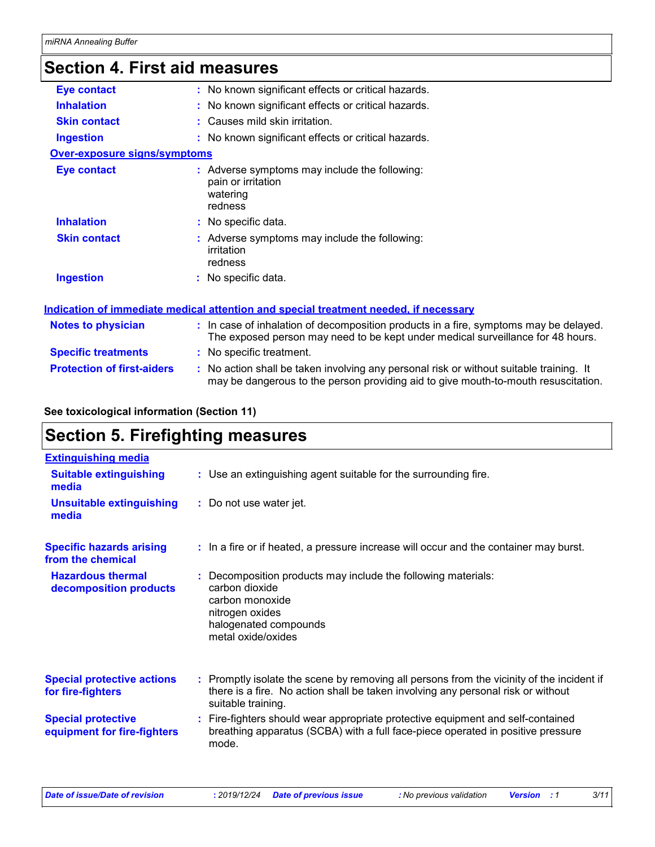### **Section 4. First aid measures**

| 00000011 TI I II OL UIU IIIVUUUI VU |                                                                                                                                                                               |
|-------------------------------------|-------------------------------------------------------------------------------------------------------------------------------------------------------------------------------|
| <b>Eye contact</b>                  | : No known significant effects or critical hazards.                                                                                                                           |
| <b>Inhalation</b>                   | : No known significant effects or critical hazards.                                                                                                                           |
| <b>Skin contact</b>                 | : Causes mild skin irritation.                                                                                                                                                |
| <b>Ingestion</b>                    | : No known significant effects or critical hazards.                                                                                                                           |
| <b>Over-exposure signs/symptoms</b> |                                                                                                                                                                               |
| <b>Eye contact</b>                  | : Adverse symptoms may include the following:<br>pain or irritation<br>watering<br>redness                                                                                    |
| <b>Inhalation</b>                   | : No specific data.                                                                                                                                                           |
| <b>Skin contact</b>                 | : Adverse symptoms may include the following:<br>irritation<br>redness                                                                                                        |
| <b>Ingestion</b>                    | : No specific data.                                                                                                                                                           |
|                                     | Indication of immediate medical attention and special treatment needed, if necessary                                                                                          |
| <b>Notes to physician</b>           | : In case of inhalation of decomposition products in a fire, symptoms may be delayed.<br>The exposed person may need to be kept under medical surveillance for 48 hours.      |
| <b>Specific treatments</b>          | : No specific treatment.                                                                                                                                                      |
| <b>Protection of first-aiders</b>   | : No action shall be taken involving any personal risk or without suitable training. It<br>may be dangerous to the person providing aid to give mouth-to-mouth resuscitation. |

#### **See toxicological information (Section 11)**

### **Section 5. Firefighting measures**

| <b>Extinguishing media</b>                               |                                                                                                                                                                                                     |
|----------------------------------------------------------|-----------------------------------------------------------------------------------------------------------------------------------------------------------------------------------------------------|
| <b>Suitable extinguishing</b><br>media                   | : Use an extinguishing agent suitable for the surrounding fire.                                                                                                                                     |
| <b>Unsuitable extinguishing</b><br>media                 | : Do not use water jet.                                                                                                                                                                             |
| <b>Specific hazards arising</b><br>from the chemical     | : In a fire or if heated, a pressure increase will occur and the container may burst.                                                                                                               |
| <b>Hazardous thermal</b><br>decomposition products       | : Decomposition products may include the following materials:<br>carbon dioxide<br>carbon monoxide<br>nitrogen oxides<br>halogenated compounds<br>metal oxide/oxides                                |
| <b>Special protective actions</b><br>for fire-fighters   | : Promptly isolate the scene by removing all persons from the vicinity of the incident if<br>there is a fire. No action shall be taken involving any personal risk or without<br>suitable training. |
| <b>Special protective</b><br>equipment for fire-fighters | : Fire-fighters should wear appropriate protective equipment and self-contained<br>breathing apparatus (SCBA) with a full face-piece operated in positive pressure<br>mode.                         |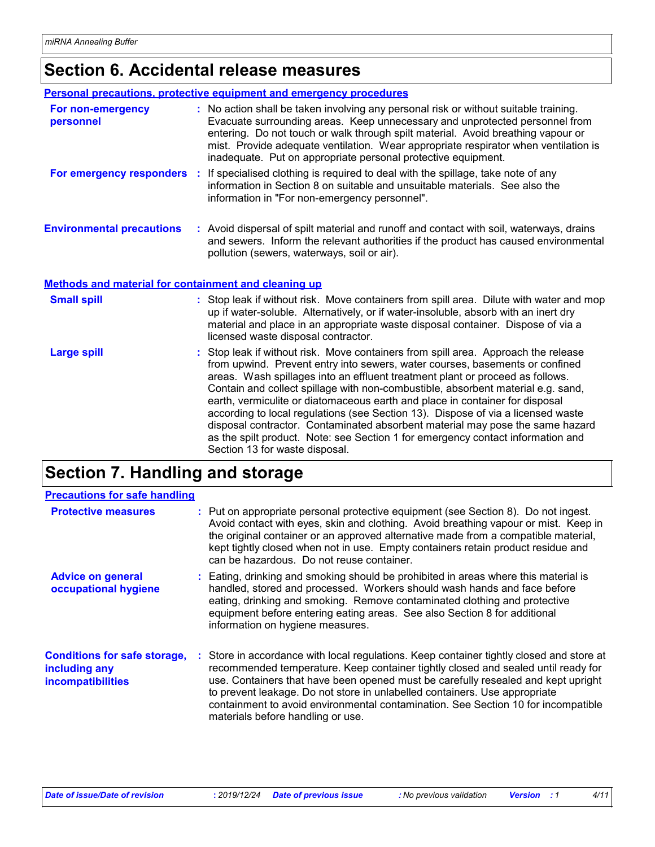### **Section 6. Accidental release measures**

|                                                      | <b>Personal precautions, protective equipment and emergency procedures</b>                                                                                                                                                                                                                                                                                                                                                                                                                                                                                                                                                                                                                                        |
|------------------------------------------------------|-------------------------------------------------------------------------------------------------------------------------------------------------------------------------------------------------------------------------------------------------------------------------------------------------------------------------------------------------------------------------------------------------------------------------------------------------------------------------------------------------------------------------------------------------------------------------------------------------------------------------------------------------------------------------------------------------------------------|
| For non-emergency<br>personnel                       | : No action shall be taken involving any personal risk or without suitable training.<br>Evacuate surrounding areas. Keep unnecessary and unprotected personnel from<br>entering. Do not touch or walk through spilt material. Avoid breathing vapour or<br>mist. Provide adequate ventilation. Wear appropriate respirator when ventilation is<br>inadequate. Put on appropriate personal protective equipment.                                                                                                                                                                                                                                                                                                   |
| For emergency responders :                           | If specialised clothing is required to deal with the spillage, take note of any<br>information in Section 8 on suitable and unsuitable materials. See also the<br>information in "For non-emergency personnel".                                                                                                                                                                                                                                                                                                                                                                                                                                                                                                   |
| <b>Environmental precautions</b>                     | : Avoid dispersal of spilt material and runoff and contact with soil, waterways, drains<br>and sewers. Inform the relevant authorities if the product has caused environmental<br>pollution (sewers, waterways, soil or air).                                                                                                                                                                                                                                                                                                                                                                                                                                                                                     |
| Methods and material for containment and cleaning up |                                                                                                                                                                                                                                                                                                                                                                                                                                                                                                                                                                                                                                                                                                                   |
| <b>Small spill</b>                                   | : Stop leak if without risk. Move containers from spill area. Dilute with water and mop<br>up if water-soluble. Alternatively, or if water-insoluble, absorb with an inert dry<br>material and place in an appropriate waste disposal container. Dispose of via a<br>licensed waste disposal contractor.                                                                                                                                                                                                                                                                                                                                                                                                          |
| <b>Large spill</b>                                   | : Stop leak if without risk. Move containers from spill area. Approach the release<br>from upwind. Prevent entry into sewers, water courses, basements or confined<br>areas. Wash spillages into an effluent treatment plant or proceed as follows.<br>Contain and collect spillage with non-combustible, absorbent material e.g. sand,<br>earth, vermiculite or diatomaceous earth and place in container for disposal<br>according to local regulations (see Section 13). Dispose of via a licensed waste<br>disposal contractor. Contaminated absorbent material may pose the same hazard<br>as the spilt product. Note: see Section 1 for emergency contact information and<br>Section 13 for waste disposal. |

# **Section 7. Handling and storage**

| <b>Precautions for safe handling</b>                                      |                                                                                                                                                                                                                                                                                                                                                                                                                                                                            |
|---------------------------------------------------------------------------|----------------------------------------------------------------------------------------------------------------------------------------------------------------------------------------------------------------------------------------------------------------------------------------------------------------------------------------------------------------------------------------------------------------------------------------------------------------------------|
| <b>Protective measures</b>                                                | : Put on appropriate personal protective equipment (see Section 8). Do not ingest.<br>Avoid contact with eyes, skin and clothing. Avoid breathing vapour or mist. Keep in<br>the original container or an approved alternative made from a compatible material,<br>kept tightly closed when not in use. Empty containers retain product residue and<br>can be hazardous. Do not reuse container.                                                                           |
| <b>Advice on general</b><br>occupational hygiene                          | : Eating, drinking and smoking should be prohibited in areas where this material is<br>handled, stored and processed. Workers should wash hands and face before<br>eating, drinking and smoking. Remove contaminated clothing and protective<br>equipment before entering eating areas. See also Section 8 for additional<br>information on hygiene measures.                                                                                                              |
| <b>Conditions for safe storage,</b><br>including any<br>incompatibilities | : Store in accordance with local regulations. Keep container tightly closed and store at<br>recommended temperature. Keep container tightly closed and sealed until ready for<br>use. Containers that have been opened must be carefully resealed and kept upright<br>to prevent leakage. Do not store in unlabelled containers. Use appropriate<br>containment to avoid environmental contamination. See Section 10 for incompatible<br>materials before handling or use. |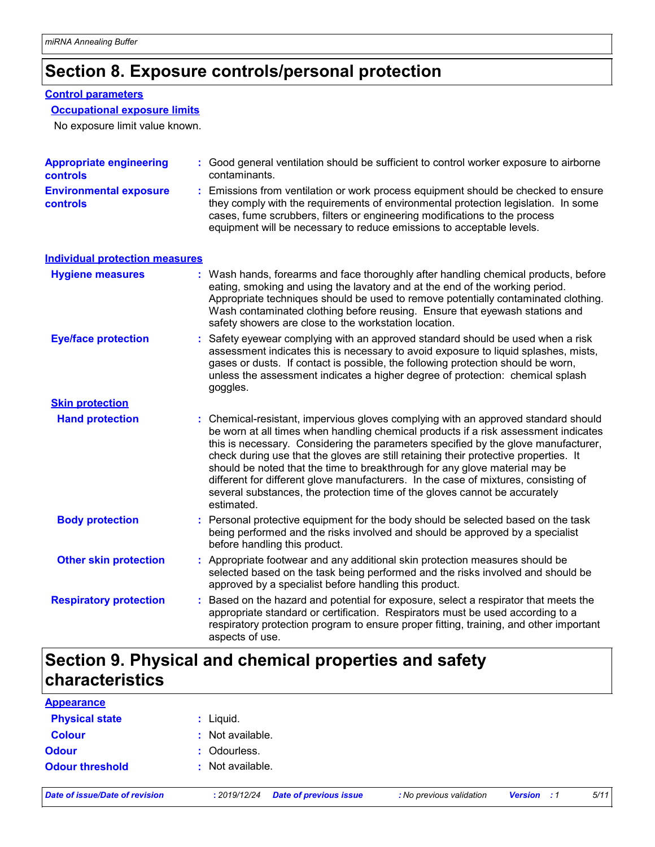### **Section 8. Exposure controls/personal protection**

#### **Control parameters**

#### **Occupational exposure limits**

No exposure limit value known.

| <b>Appropriate engineering</b><br>controls       | : Good general ventilation should be sufficient to control worker exposure to airborne<br>contaminants.                                                                                                                                                                                                                                                                                                                                                                                                                                                                                                                   |
|--------------------------------------------------|---------------------------------------------------------------------------------------------------------------------------------------------------------------------------------------------------------------------------------------------------------------------------------------------------------------------------------------------------------------------------------------------------------------------------------------------------------------------------------------------------------------------------------------------------------------------------------------------------------------------------|
| <b>Environmental exposure</b><br><b>controls</b> | : Emissions from ventilation or work process equipment should be checked to ensure<br>they comply with the requirements of environmental protection legislation. In some<br>cases, fume scrubbers, filters or engineering modifications to the process<br>equipment will be necessary to reduce emissions to acceptable levels.                                                                                                                                                                                                                                                                                           |
| <b>Individual protection measures</b>            |                                                                                                                                                                                                                                                                                                                                                                                                                                                                                                                                                                                                                           |
| <b>Hygiene measures</b>                          | : Wash hands, forearms and face thoroughly after handling chemical products, before<br>eating, smoking and using the lavatory and at the end of the working period.<br>Appropriate techniques should be used to remove potentially contaminated clothing.<br>Wash contaminated clothing before reusing. Ensure that eyewash stations and<br>safety showers are close to the workstation location.                                                                                                                                                                                                                         |
| <b>Eye/face protection</b>                       | Safety eyewear complying with an approved standard should be used when a risk<br>assessment indicates this is necessary to avoid exposure to liquid splashes, mists,<br>gases or dusts. If contact is possible, the following protection should be worn,<br>unless the assessment indicates a higher degree of protection: chemical splash<br>goggles.                                                                                                                                                                                                                                                                    |
| <b>Skin protection</b>                           |                                                                                                                                                                                                                                                                                                                                                                                                                                                                                                                                                                                                                           |
| <b>Hand protection</b>                           | : Chemical-resistant, impervious gloves complying with an approved standard should<br>be worn at all times when handling chemical products if a risk assessment indicates<br>this is necessary. Considering the parameters specified by the glove manufacturer,<br>check during use that the gloves are still retaining their protective properties. It<br>should be noted that the time to breakthrough for any glove material may be<br>different for different glove manufacturers. In the case of mixtures, consisting of<br>several substances, the protection time of the gloves cannot be accurately<br>estimated. |
| <b>Body protection</b>                           | : Personal protective equipment for the body should be selected based on the task<br>being performed and the risks involved and should be approved by a specialist<br>before handling this product.                                                                                                                                                                                                                                                                                                                                                                                                                       |
| <b>Other skin protection</b>                     | : Appropriate footwear and any additional skin protection measures should be<br>selected based on the task being performed and the risks involved and should be<br>approved by a specialist before handling this product.                                                                                                                                                                                                                                                                                                                                                                                                 |
| <b>Respiratory protection</b>                    | Based on the hazard and potential for exposure, select a respirator that meets the<br>appropriate standard or certification. Respirators must be used according to a<br>respiratory protection program to ensure proper fitting, training, and other important<br>aspects of use.                                                                                                                                                                                                                                                                                                                                         |

### **Section 9. Physical and chemical properties and safety characteristics**

| <b>Appearance</b>      |                  |
|------------------------|------------------|
| <b>Physical state</b>  | $:$ Liquid.      |
| <b>Colour</b>          | : Not available. |
| <b>Odour</b>           | : Odourless.     |
| <b>Odour threshold</b> | : Not available. |
|                        |                  |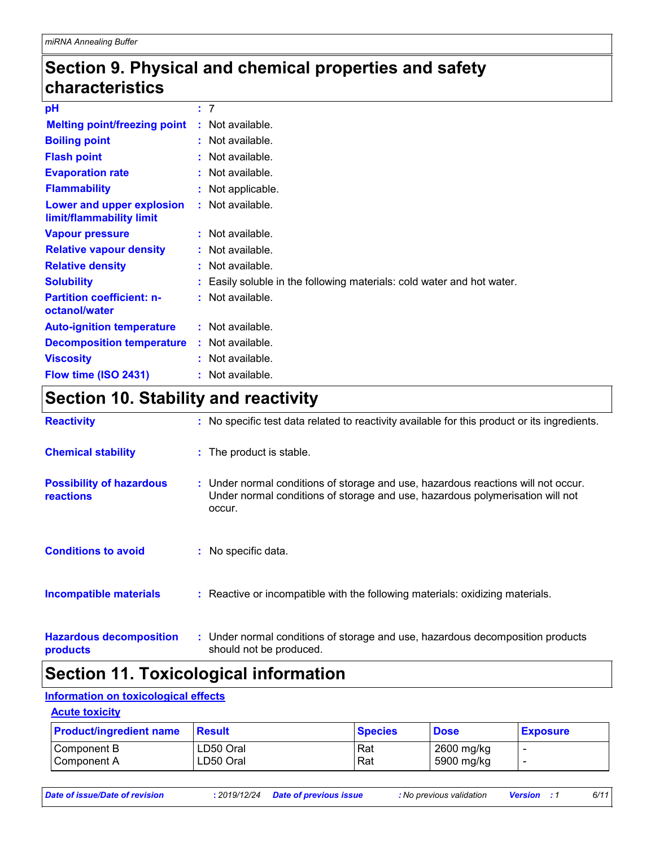### **Section 9. Physical and chemical properties and safety characteristics**

| рH                                                    | : 7                                                                    |
|-------------------------------------------------------|------------------------------------------------------------------------|
| <b>Melting point/freezing point</b>                   | : Not available.                                                       |
| <b>Boiling point</b>                                  | $:$ Not available.                                                     |
| <b>Flash point</b>                                    | $:$ Not available.                                                     |
| <b>Evaporation rate</b>                               | : Not available.                                                       |
| <b>Flammability</b>                                   | : Not applicable.                                                      |
| Lower and upper explosion<br>limit/flammability limit | : Not available.                                                       |
| <b>Vapour pressure</b>                                | : Not available.                                                       |
| <b>Relative vapour density</b>                        | : Not available.                                                       |
| <b>Relative density</b>                               | : Not available.                                                       |
| <b>Solubility</b>                                     | : Easily soluble in the following materials: cold water and hot water. |
| <b>Partition coefficient: n-</b><br>octanol/water     | : Not available.                                                       |
| <b>Auto-ignition temperature</b>                      | $:$ Not available.                                                     |
| <b>Decomposition temperature</b>                      | : Not available.                                                       |
| <b>Viscosity</b>                                      | $:$ Not available.                                                     |
| Flow time (ISO 2431)                                  | : Not available.                                                       |

# **Section 10. Stability and reactivity**

| <b>Reactivity</b>                                   | : No specific test data related to reactivity available for this product or its ingredients.                                                                                 |
|-----------------------------------------------------|------------------------------------------------------------------------------------------------------------------------------------------------------------------------------|
| <b>Chemical stability</b>                           | : The product is stable.                                                                                                                                                     |
| <b>Possibility of hazardous</b><br><b>reactions</b> | : Under normal conditions of storage and use, hazardous reactions will not occur.<br>Under normal conditions of storage and use, hazardous polymerisation will not<br>occur. |
| <b>Conditions to avoid</b>                          | : No specific data.                                                                                                                                                          |
| <b>Incompatible materials</b>                       | : Reactive or incompatible with the following materials: oxidizing materials.                                                                                                |
| <b>Hazardous decomposition</b><br><b>products</b>   | : Under normal conditions of storage and use, hazardous decomposition products<br>should not be produced.                                                                    |

# **Section 11. Toxicological information**

#### **Information on toxicological effects**

#### **Acute toxicity**

| <b>Product/ingredient name</b> | <b>Result</b> | <b>Species</b> | <b>Dose</b> | <b>Exposure</b> |
|--------------------------------|---------------|----------------|-------------|-----------------|
| Component B                    | LD50 Oral     | Rat            | 2600 mg/kg  |                 |
| I Component A                  | LD50 Oral     | Rat            | 5900 mg/kg  |                 |

*Date of issue/Date of revision* **:** *2019/12/24 Date of previous issue : No previous validation Version : 1 6/11*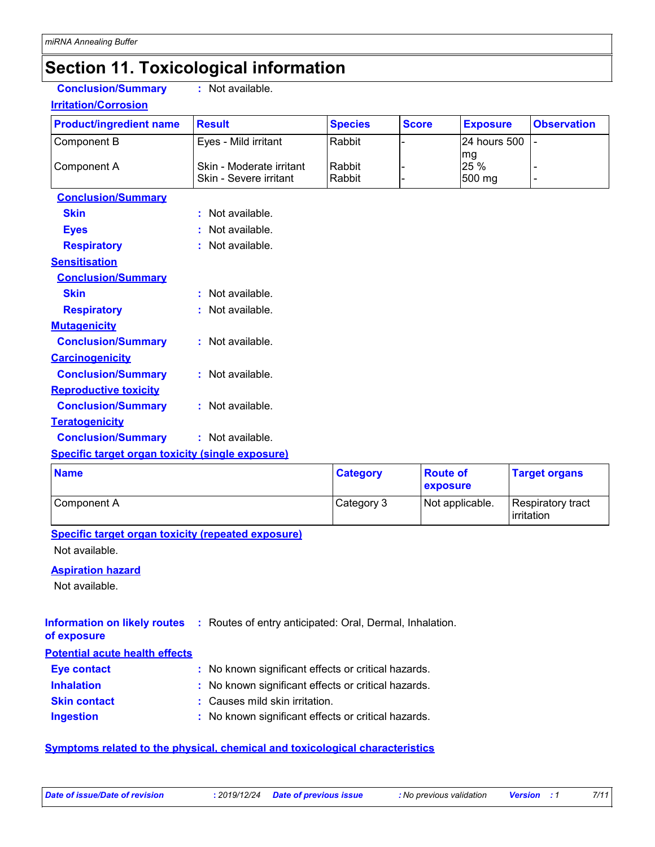# **Section 11. Toxicological information**

**Conclusion/Summary :** Not available.

**Irritation/Corrosion**

| <b>Product/ingredient name</b>                          | <b>Result</b>                                      | <b>Species</b>   | <b>Score</b> | <b>Exposure</b>      | <b>Observation</b> |
|---------------------------------------------------------|----------------------------------------------------|------------------|--------------|----------------------|--------------------|
| Component B                                             | Eyes - Mild irritant                               | Rabbit           |              | 24 hours 500         |                    |
| Component A                                             | Skin - Moderate irritant<br>Skin - Severe irritant | Rabbit<br>Rabbit |              | mg<br>25 %<br>500 mg |                    |
| <b>Conclusion/Summary</b>                               |                                                    |                  |              |                      |                    |
| <b>Skin</b>                                             | : Not available.                                   |                  |              |                      |                    |
| <b>Eyes</b>                                             | : Not available.                                   |                  |              |                      |                    |
| <b>Respiratory</b>                                      | : Not available.                                   |                  |              |                      |                    |
| <b>Sensitisation</b>                                    |                                                    |                  |              |                      |                    |
| <b>Conclusion/Summary</b>                               |                                                    |                  |              |                      |                    |
| <b>Skin</b>                                             | : Not available.                                   |                  |              |                      |                    |
| <b>Respiratory</b>                                      | : Not available.                                   |                  |              |                      |                    |
| <b>Mutagenicity</b>                                     |                                                    |                  |              |                      |                    |
| <b>Conclusion/Summary</b>                               | : Not available.                                   |                  |              |                      |                    |
| <b>Carcinogenicity</b>                                  |                                                    |                  |              |                      |                    |
| <b>Conclusion/Summary</b>                               | : Not available.                                   |                  |              |                      |                    |
| <b>Reproductive toxicity</b>                            |                                                    |                  |              |                      |                    |
| <b>Conclusion/Summary</b>                               | : Not available.                                   |                  |              |                      |                    |
| <b>Teratogenicity</b>                                   |                                                    |                  |              |                      |                    |
| <b>Conclusion/Summary</b>                               | : Not available.                                   |                  |              |                      |                    |
| <b>Specific target organ toxicity (single exposure)</b> |                                                    |                  |              |                      |                    |

| <b>Name</b> | <b>Category</b> | <b>Route of</b><br>exposure | <b>Target organs</b>            |
|-------------|-----------------|-----------------------------|---------------------------------|
| Component A | Category 3      | Not applicable.             | Respiratory tract<br>irritation |

#### **Specific target organ toxicity (repeated exposure)**

Not available.

#### **Aspiration hazard**

Not available.

#### **Information on likely routes** : Routes of entry anticipated: Oral, Dermal, Inhalation.

**of exposure**

| <b>Eye contact</b>  | : No known significant effects or critical hazards. |
|---------------------|-----------------------------------------------------|
| <b>Inhalation</b>   | : No known significant effects or critical hazards. |
| <b>Skin contact</b> | : Causes mild skin irritation.                      |
| <b>Ingestion</b>    | : No known significant effects or critical hazards. |

#### **Symptoms related to the physical, chemical and toxicological characteristics**

*Date of issue/Date of revision* **:** *2019/12/24 Date of previous issue : No previous validation Version : 1 7/11*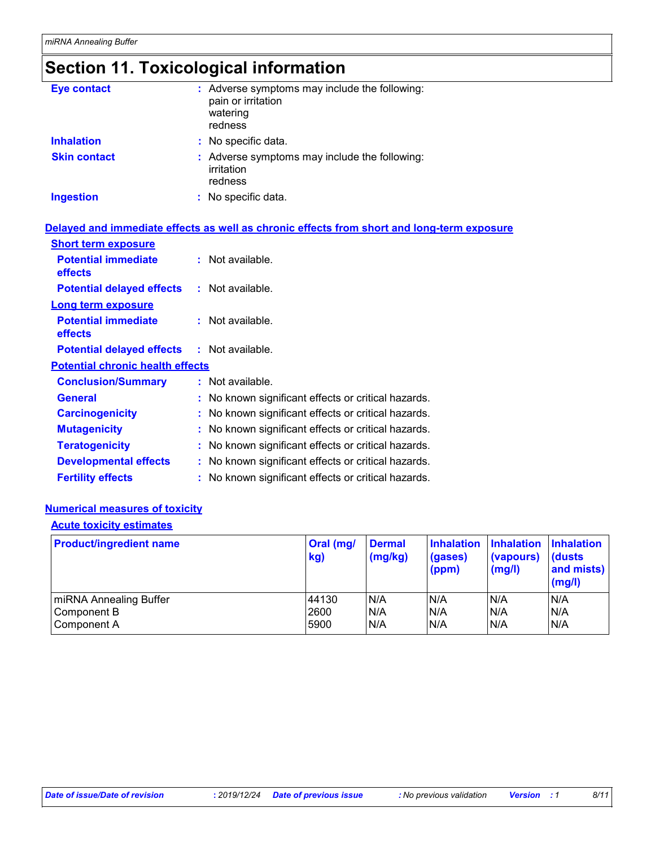# **Section 11. Toxicological information**

| <b>Eye contact</b>  | : Adverse symptoms may include the following:<br>pain or irritation<br>watering<br>redness |
|---------------------|--------------------------------------------------------------------------------------------|
| <b>Inhalation</b>   | : No specific data.                                                                        |
| <b>Skin contact</b> | : Adverse symptoms may include the following:<br>irritation<br>redness                     |
| <b>Ingestion</b>    | : No specific data.                                                                        |

|                                              | Delayed and immediate effects as well as chronic effects from short and long-term exposure |
|----------------------------------------------|--------------------------------------------------------------------------------------------|
| <b>Short term exposure</b>                   |                                                                                            |
| <b>Potential immediate</b><br><b>effects</b> | $:$ Not available.                                                                         |
| <b>Potential delayed effects</b>             | : Not available.                                                                           |
| <b>Long term exposure</b>                    |                                                                                            |
| <b>Potential immediate</b><br><b>effects</b> | $:$ Not available.                                                                         |
| <b>Potential delayed effects</b>             | $:$ Not available.                                                                         |
| <b>Potential chronic health effects</b>      |                                                                                            |
| <b>Conclusion/Summary</b>                    | : Not available.                                                                           |
| <b>General</b>                               | : No known significant effects or critical hazards.                                        |
| <b>Carcinogenicity</b>                       | : No known significant effects or critical hazards.                                        |
| <b>Mutagenicity</b>                          | : No known significant effects or critical hazards.                                        |
| <b>Teratogenicity</b>                        | : No known significant effects or critical hazards.                                        |
| <b>Developmental effects</b>                 | : No known significant effects or critical hazards.                                        |
| <b>Fertility effects</b>                     | : No known significant effects or critical hazards.                                        |
|                                              |                                                                                            |

#### **Numerical measures of toxicity**

#### **Acute toxicity estimates**

| <b>Product/ingredient name</b> | Oral (mg/<br>kg) | <b>Dermal</b><br>(mg/kg) | <b>Inhalation</b><br>(gases)<br>(ppm) | <b>Inhalation</b><br>(vapours)<br>(mg/l) | <b>Inhalation</b><br><b>dusts</b><br>and mists)<br>(mg/l) |
|--------------------------------|------------------|--------------------------|---------------------------------------|------------------------------------------|-----------------------------------------------------------|
| miRNA Annealing Buffer         | 44130            | N/A                      | N/A                                   | N/A                                      | N/A                                                       |
| Component B                    | 2600             | N/A                      | N/A                                   | N/A                                      | N/A                                                       |
| Component A                    | 5900             | N/A                      | N/A                                   | N/A                                      | N/A                                                       |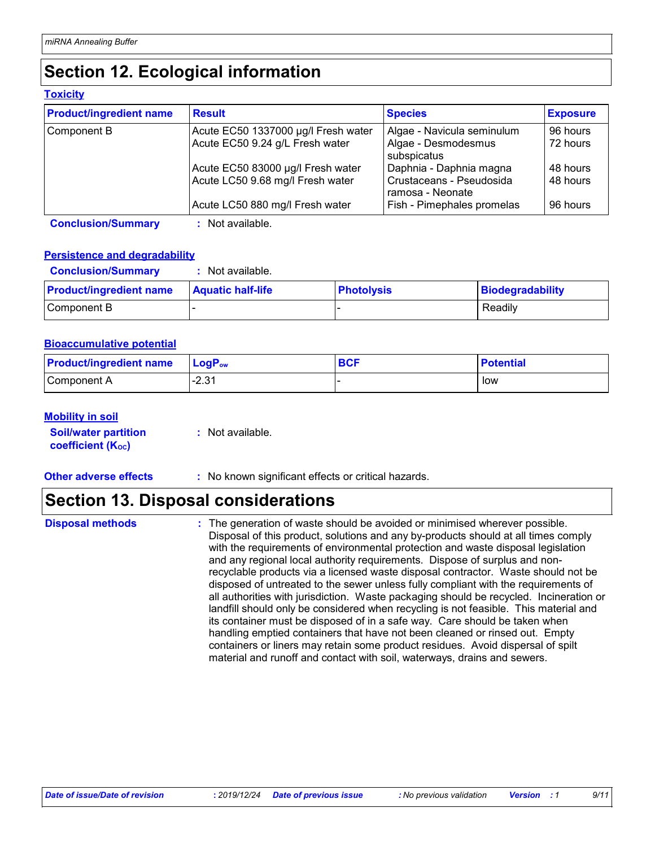# **Section 12. Ecological information**

#### **Toxicity**

| <b>Product/ingredient name</b> | <b>Result</b>                       | <b>Species</b>                               | <b>Exposure</b> |
|--------------------------------|-------------------------------------|----------------------------------------------|-----------------|
| Component B                    | Acute EC50 1337000 µg/l Fresh water | Algae - Navicula seminulum                   | 96 hours        |
|                                | Acute EC50 9.24 g/L Fresh water     | Algae - Desmodesmus<br>subspicatus           | 72 hours        |
|                                | Acute EC50 83000 µg/l Fresh water   | Daphnia - Daphnia magna                      | 48 hours        |
|                                | Acute LC50 9.68 mg/l Fresh water    | Crustaceans - Pseudosida<br>ramosa - Neonate | 48 hours        |
|                                | Acute LC50 880 mg/l Fresh water     | Fish - Pimephales promelas                   | 96 hours        |
| <b>Conclusion/Summary</b>      | Not available.                      |                                              |                 |

#### **Persistence and degradability**

| <b>Conclusion/Summary</b>      | Not available.           |                   |                         |
|--------------------------------|--------------------------|-------------------|-------------------------|
| <b>Product/ingredient name</b> | <b>Aquatic half-life</b> | <b>Photolysis</b> | <b>Biodegradability</b> |
| l Component B                  |                          |                   | Readily                 |

#### **Bioaccumulative potential**

| <b>Product/ingredient name</b> | $\mathsf{LogP}_\mathsf{ow}$ | <b>BCF</b><br>יטם | <b>Potential</b> |
|--------------------------------|-----------------------------|-------------------|------------------|
| Component A                    | ົດ ລ4<br>. د.∠∹             |                   | low              |

#### **Mobility in soil**

**Soil/water partition coefficient (Koc) :** Not available.

**Other adverse effects** : No known significant effects or critical hazards.

### **Section 13. Disposal considerations**

**Disposal methods :**

The generation of waste should be avoided or minimised wherever possible. Disposal of this product, solutions and any by-products should at all times comply with the requirements of environmental protection and waste disposal legislation and any regional local authority requirements. Dispose of surplus and nonrecyclable products via a licensed waste disposal contractor. Waste should not be disposed of untreated to the sewer unless fully compliant with the requirements of all authorities with jurisdiction. Waste packaging should be recycled. Incineration or landfill should only be considered when recycling is not feasible. This material and its container must be disposed of in a safe way. Care should be taken when handling emptied containers that have not been cleaned or rinsed out. Empty containers or liners may retain some product residues. Avoid dispersal of spilt material and runoff and contact with soil, waterways, drains and sewers.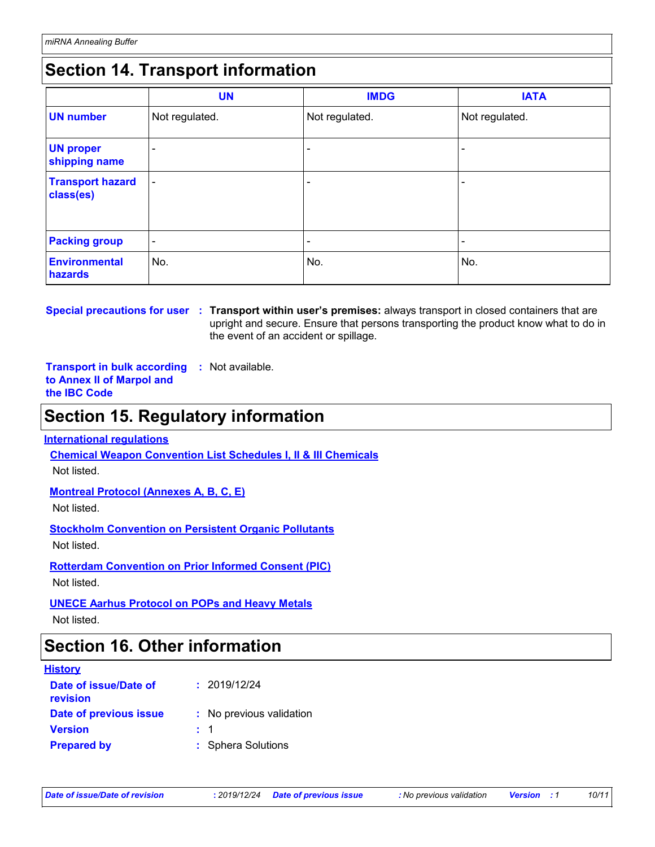### **Section 14. Transport information**

|                                      | <b>UN</b>                | <b>IMDG</b>              | <b>IATA</b>              |
|--------------------------------------|--------------------------|--------------------------|--------------------------|
| <b>UN number</b>                     | Not regulated.           | Not regulated.           | Not regulated.           |
| <b>UN proper</b><br>shipping name    | $\overline{\phantom{0}}$ | $\overline{\phantom{0}}$ |                          |
| <b>Transport hazard</b><br>class(es) | $\overline{\phantom{a}}$ | $\overline{\phantom{0}}$ |                          |
| <b>Packing group</b>                 | $\overline{\phantom{a}}$ | $\overline{\phantom{a}}$ | $\overline{\phantom{0}}$ |
| <b>Environmental</b><br>hazards      | No.                      | No.                      | No.                      |

#### **Special precautions for user : Transport within user's premises:** always transport in closed containers that are upright and secure. Ensure that persons transporting the product know what to do in the event of an accident or spillage.

**Transport in bulk according :** Not available. **to Annex II of Marpol and the IBC Code**

### **Section 15. Regulatory information**

#### **International regulations**

**Chemical Weapon Convention List Schedules I, II & III Chemicals**

Not listed.

#### **Montreal Protocol (Annexes A, B, C, E)**

Not listed.

**Stockholm Convention on Persistent Organic Pollutants**

Not listed.

**Rotterdam Convention on Prior Informed Consent (PIC)**

Not listed.

**UNECE Aarhus Protocol on POPs and Heavy Metals**

Not listed.

### **Section 16. Other information**

| <b>History</b>                    |                          |
|-----------------------------------|--------------------------|
| Date of issue/Date of<br>revision | : 2019/12/24             |
| Date of previous issue            | : No previous validation |
| <b>Version</b>                    | $\cdot$ 1                |
| <b>Prepared by</b>                | : Sphera Solutions       |